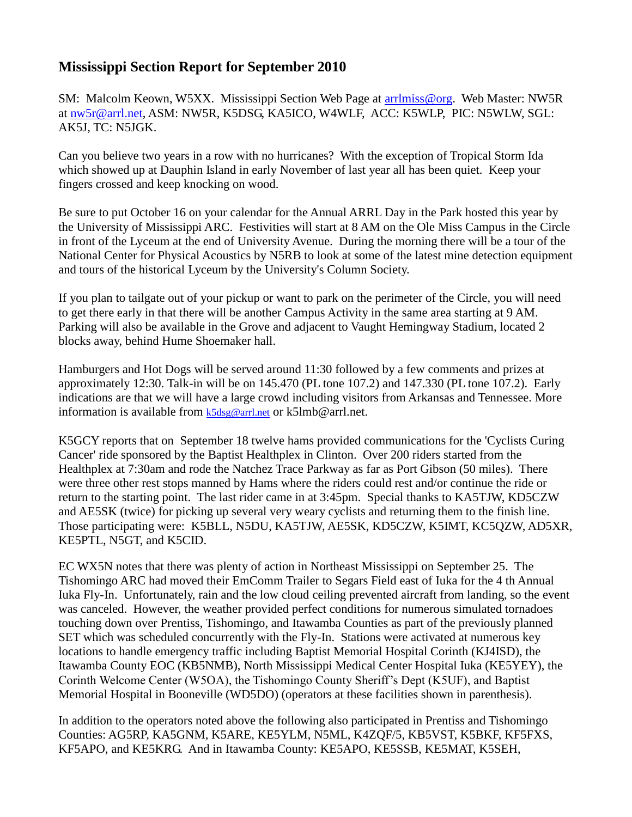## **Mississippi Section Report for September 2010**

SM: Malcolm Keown, W5XX. Mississippi Section Web Page at [arrlmiss@org.](mailto:arrlmiss@org) Web Master: NW5R at [nw5r@arrl.net,](mailto:nw5r@arrl.net) ASM: NW5R, K5DSG, KA5ICO, W4WLF, ACC: K5WLP, PIC: N5WLW, SGL: AK5J, TC: N5JGK.

Can you believe two years in a row with no hurricanes? With the exception of Tropical Storm Ida which showed up at Dauphin Island in early November of last year all has been quiet. Keep your fingers crossed and keep knocking on wood.

Be sure to put October 16 on your calendar for the Annual ARRL Day in the Park hosted this year by the University of Mississippi ARC. Festivities will start at 8 AM on the Ole Miss Campus in the Circle in front of the Lyceum at the end of University Avenue. During the morning there will be a tour of the National Center for Physical Acoustics by N5RB to look at some of the latest mine detection equipment and tours of the historical Lyceum by the University's Column Society.

If you plan to tailgate out of your pickup or want to park on the perimeter of the Circle, you will need to get there early in that there will be another Campus Activity in the same area starting at 9 AM. Parking will also be available in the Grove and adjacent to Vaught Hemingway Stadium, located 2 blocks away, behind Hume Shoemaker hall.

Hamburgers and Hot Dogs will be served around 11:30 followed by a few comments and prizes at approximately 12:30. Talk-in will be on 145.470 (PL tone 107.2) and 147.330 (PL tone 107.2). Early indications are that we will have a large crowd including visitors from Arkansas and Tennessee. More information is available from [k5dsg@arrl.net](mailto:k4dsg@arrl.net) or k5lmb@arrl.net.

K5GCY reports that on September 18 twelve hams provided communications for the 'Cyclists Curing Cancer' ride sponsored by the Baptist Healthplex in Clinton. Over 200 riders started from the Healthplex at 7:30am and rode the Natchez Trace Parkway as far as Port Gibson (50 miles). There were three other rest stops manned by Hams where the riders could rest and/or continue the ride or return to the starting point. The last rider came in at 3:45pm. Special thanks to KA5TJW, KD5CZW and AE5SK (twice) for picking up several very weary cyclists and returning them to the finish line. Those participating were: K5BLL, N5DU, KA5TJW, AE5SK, KD5CZW, K5IMT, KC5QZW, AD5XR, KE5PTL, N5GT, and K5CID.

EC WX5N notes that there was plenty of action in Northeast Mississippi on September 25. The Tishomingo ARC had moved their EmComm Trailer to Segars Field east of Iuka for the 4 th Annual Iuka Fly-In. Unfortunately, rain and the low cloud ceiling prevented aircraft from landing, so the event was canceled. However, the weather provided perfect conditions for numerous simulated tornadoes touching down over Prentiss, Tishomingo, and Itawamba Counties as part of the previously planned SET which was scheduled concurrently with the Fly-In. Stations were activated at numerous key locations to handle emergency traffic including Baptist Memorial Hospital Corinth (KJ4ISD), the Itawamba County EOC (KB5NMB), North Mississippi Medical Center Hospital Iuka (KE5YEY), the Corinth Welcome Center (W5OA), the Tishomingo County Sheriff's Dept (K5UF), and Baptist Memorial Hospital in Booneville (WD5DO) (operators at these facilities shown in parenthesis).

In addition to the operators noted above the following also participated in Prentiss and Tishomingo Counties: AG5RP, KA5GNM, K5ARE, KE5YLM, N5ML, K4ZQF/5, KB5VST, K5BKF, KF5FXS, KF5APO, and KE5KRG. And in Itawamba County: KE5APO, KE5SSB, KE5MAT, K5SEH,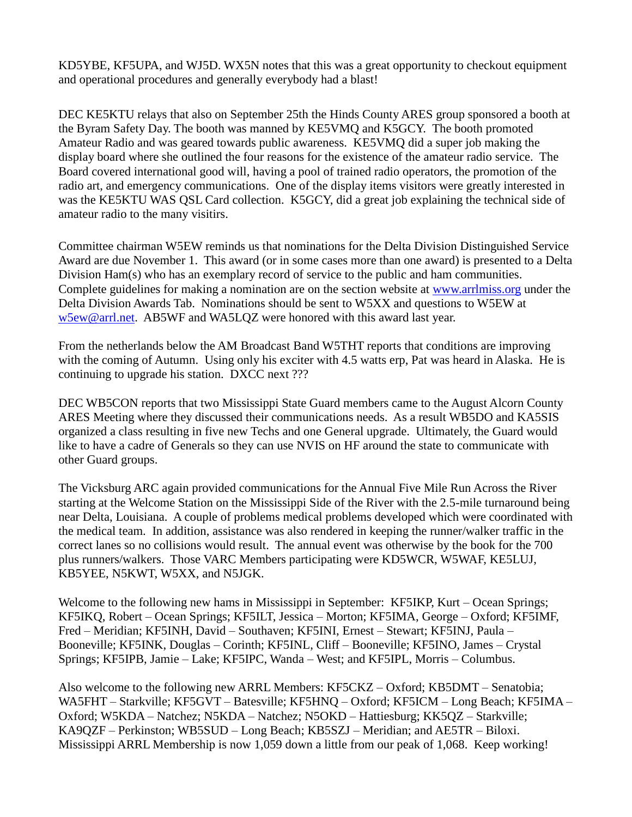KD5YBE, KF5UPA, and WJ5D. WX5N notes that this was a great opportunity to checkout equipment and operational procedures and generally everybody had a blast!

DEC KE5KTU relays that also on September 25th the Hinds County ARES group sponsored a booth at the Byram Safety Day. The booth was manned by KE5VMQ and K5GCY. The booth promoted Amateur Radio and was geared towards public awareness. KE5VMQ did a super job making the display board where she outlined the four reasons for the existence of the amateur radio service. The Board covered international good will, having a pool of trained radio operators, the promotion of the radio art, and emergency communications. One of the display items visitors were greatly interested in was the KE5KTU WAS QSL Card collection. K5GCY, did a great job explaining the technical side of amateur radio to the many visitirs.

Committee chairman W5EW reminds us that nominations for the Delta Division Distinguished Service Award are due November 1. This award (or in some cases more than one award) is presented to a Delta Division Ham(s) who has an exemplary record of service to the public and ham communities. Complete guidelines for making a nomination are on the section website at [www.arrlmiss.org](http://www.arrlmiss.org/) under the Delta Division Awards Tab. Nominations should be sent to W5XX and questions to W5EW at [w5ew@arrl.net.](mailto:w5ew@arrl.net) AB5WF and WA5LQZ were honored with this award last year.

From the netherlands below the AM Broadcast Band W5THT reports that conditions are improving with the coming of Autumn. Using only his exciter with 4.5 watts erp, Pat was heard in Alaska. He is continuing to upgrade his station. DXCC next ???

DEC WB5CON reports that two Mississippi State Guard members came to the August Alcorn County ARES Meeting where they discussed their communications needs. As a result WB5DO and KA5SIS organized a class resulting in five new Techs and one General upgrade. Ultimately, the Guard would like to have a cadre of Generals so they can use NVIS on HF around the state to communicate with other Guard groups.

The Vicksburg ARC again provided communications for the Annual Five Mile Run Across the River starting at the Welcome Station on the Mississippi Side of the River with the 2.5-mile turnaround being near Delta, Louisiana. A couple of problems medical problems developed which were coordinated with the medical team. In addition, assistance was also rendered in keeping the runner/walker traffic in the correct lanes so no collisions would result. The annual event was otherwise by the book for the 700 plus runners/walkers. Those VARC Members participating were KD5WCR, W5WAF, KE5LUJ, KB5YEE, N5KWT, W5XX, and N5JGK.

Welcome to the following new hams in Mississippi in September: KF5IKP, Kurt – Ocean Springs; KF5IKQ, Robert – Ocean Springs; KF5ILT, Jessica – Morton; KF5IMA, George – Oxford; KF5IMF, Fred – Meridian; KF5INH, David – Southaven; KF5INI, Ernest – Stewart; KF5INJ, Paula – Booneville; KF5INK, Douglas – Corinth; KF5INL, Cliff – Booneville; KF5INO, James – Crystal Springs; KF5IPB, Jamie – Lake; KF5IPC, Wanda – West; and KF5IPL, Morris – Columbus.

Also welcome to the following new ARRL Members: KF5CKZ – Oxford; KB5DMT – Senatobia; WA5FHT – Starkville; KF5GVT – Batesville; KF5HNQ – Oxford; KF5ICM – Long Beach; KF5IMA – Oxford; W5KDA – Natchez; N5KDA – Natchez; N5OKD – Hattiesburg; KK5QZ – Starkville; KA9QZF – Perkinston; WB5SUD – Long Beach; KB5SZJ – Meridian; and AE5TR – Biloxi. Mississippi ARRL Membership is now 1,059 down a little from our peak of 1,068. Keep working!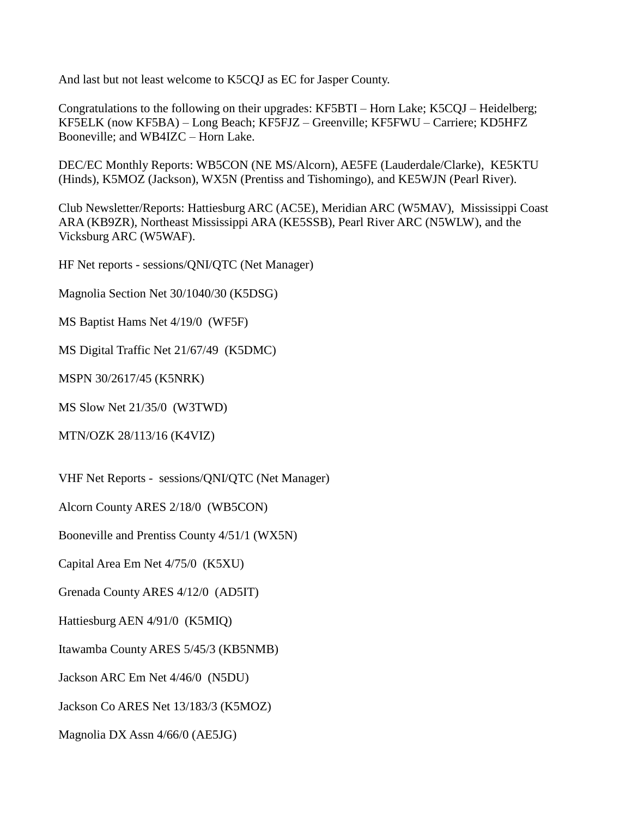And last but not least welcome to K5CQJ as EC for Jasper County.

Congratulations to the following on their upgrades: KF5BTI – Horn Lake; K5CQJ – Heidelberg; KF5ELK (now KF5BA) – Long Beach; KF5FJZ – Greenville; KF5FWU – Carriere; KD5HFZ Booneville; and WB4IZC – Horn Lake.

DEC/EC Monthly Reports: WB5CON (NE MS/Alcorn), AE5FE (Lauderdale/Clarke), KE5KTU (Hinds), K5MOZ (Jackson), WX5N (Prentiss and Tishomingo), and KE5WJN (Pearl River).

Club Newsletter/Reports: Hattiesburg ARC (AC5E), Meridian ARC (W5MAV), Mississippi Coast ARA (KB9ZR), Northeast Mississippi ARA (KE5SSB), Pearl River ARC (N5WLW), and the Vicksburg ARC (W5WAF).

HF Net reports - sessions/QNI/QTC (Net Manager)

Magnolia Section Net 30/1040/30 (K5DSG)

MS Baptist Hams Net 4/19/0 (WF5F)

MS Digital Traffic Net 21/67/49 (K5DMC)

MSPN 30/2617/45 (K5NRK)

MS Slow Net 21/35/0 (W3TWD)

MTN/OZK 28/113/16 (K4VIZ)

VHF Net Reports - sessions/QNI/QTC (Net Manager)

Alcorn County ARES 2/18/0 (WB5CON)

Booneville and Prentiss County 4/51/1 (WX5N)

Capital Area Em Net 4/75/0 (K5XU)

Grenada County ARES 4/12/0 (AD5IT)

Hattiesburg AEN 4/91/0 (K5MIQ)

Itawamba County ARES 5/45/3 (KB5NMB)

Jackson ARC Em Net 4/46/0 (N5DU)

Jackson Co ARES Net 13/183/3 (K5MOZ)

Magnolia DX Assn 4/66/0 (AE5JG)